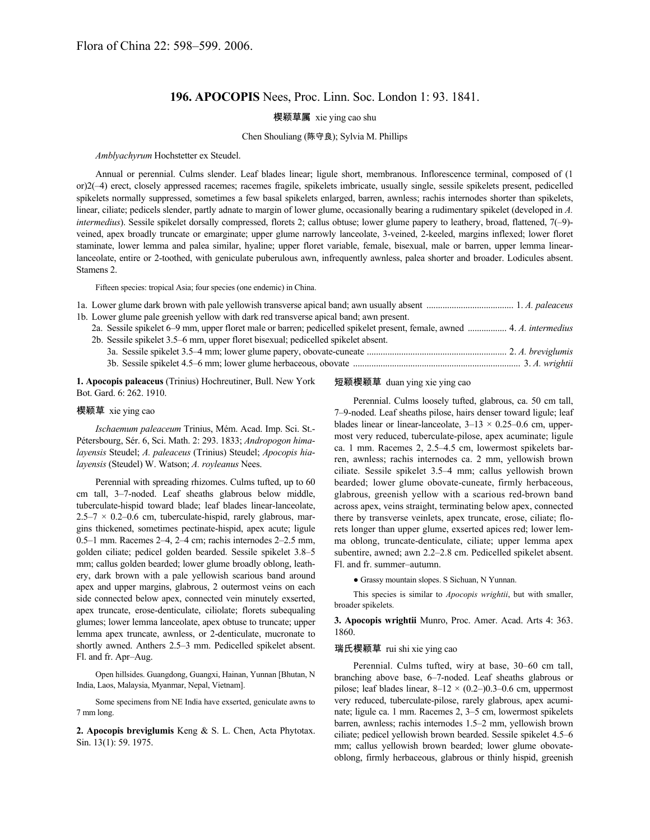# **196. APOCOPIS** Nees, Proc. Linn. Soc. London 1: 93. 1841.

## 楔颖草属 xie ying cao shu

### Chen Shouliang (陈守良); Sylvia M. Phillips

#### *Amblyachyrum* Hochstetter ex Steudel.

Annual or perennial. Culms slender. Leaf blades linear; ligule short, membranous. Inflorescence terminal, composed of (1 or)2(–4) erect, closely appressed racemes; racemes fragile, spikelets imbricate, usually single, sessile spikelets present, pedicelled spikelets normally suppressed, sometimes a few basal spikelets enlarged, barren, awnless; rachis internodes shorter than spikelets, linear, ciliate; pedicels slender, partly adnate to margin of lower glume, occasionally bearing a rudimentary spikelet (developed in *A. intermedius*). Sessile spikelet dorsally compressed, florets 2; callus obtuse; lower glume papery to leathery, broad, flattened, 7(–9) veined, apex broadly truncate or emarginate; upper glume narrowly lanceolate, 3-veined, 2-keeled, margins inflexed; lower floret staminate, lower lemma and palea similar, hyaline; upper floret variable, female, bisexual, male or barren, upper lemma linearlanceolate, entire or 2-toothed, with geniculate puberulous awn, infrequently awnless, palea shorter and broader. Lodicules absent. Stamens 2.

Fifteen species: tropical Asia; four species (one endemic) in China.

| 1b. Lower glume pale greenish yellow with dark red transverse apical band; awn present.                                 |
|-------------------------------------------------------------------------------------------------------------------------|
| 2a. Sessile spikelet 6–9 mm, upper floret male or barren; pedicelled spikelet present, female, awned  4. A. intermedius |
| 2b. Sessile spikelet 3.5–6 mm, upper floret bisexual; pedicelled spikelet absent.                                       |
|                                                                                                                         |
|                                                                                                                         |

**1. Apocopis paleaceus** (Trinius) Hochreutiner, Bull. New York Bot. Gard. 6: 262. 1910.

#### 楔颖草 xie ying cao

*Ischaemum paleaceum* Trinius, Mém. Acad. Imp. Sci. St.- Pétersbourg, Sér. 6, Sci. Math. 2: 293. 1833; *Andropogon himalayensis* Steudel; *A. paleaceus* (Trinius) Steudel; *Apocopis hialayensis* (Steudel) W. Watson; *A. royleanus* Nees.

Perennial with spreading rhizomes. Culms tufted, up to 60 cm tall, 3–7-noded. Leaf sheaths glabrous below middle, tuberculate-hispid toward blade; leaf blades linear-lanceolate,  $2.5-7 \times 0.2-0.6$  cm, tuberculate-hispid, rarely glabrous, margins thickened, sometimes pectinate-hispid, apex acute; ligule 0.5–1 mm. Racemes 2–4, 2–4 cm; rachis internodes 2–2.5 mm, golden ciliate; pedicel golden bearded. Sessile spikelet 3.8–5 mm; callus golden bearded; lower glume broadly oblong, leathery, dark brown with a pale yellowish scarious band around apex and upper margins, glabrous, 2 outermost veins on each side connected below apex, connected vein minutely exserted, apex truncate, erose-denticulate, ciliolate; florets subequaling glumes; lower lemma lanceolate, apex obtuse to truncate; upper lemma apex truncate, awnless, or 2-denticulate, mucronate to shortly awned. Anthers 2.5–3 mm. Pedicelled spikelet absent. Fl. and fr. Apr–Aug.

Open hillsides. Guangdong, Guangxi, Hainan, Yunnan [Bhutan, N India, Laos, Malaysia, Myanmar, Nepal, Vietnam].

Some specimens from NE India have exserted, geniculate awns to 7 mm long.

**2. Apocopis breviglumis** Keng & S. L. Chen, Acta Phytotax. Sin. 13(1): 59. 1975.

## 短颖楔颖草 duan ying xie ying cao

Perennial. Culms loosely tufted, glabrous, ca. 50 cm tall, 7–9-noded. Leaf sheaths pilose, hairs denser toward ligule; leaf blades linear or linear-lanceolate,  $3-13 \times 0.25-0.6$  cm, uppermost very reduced, tuberculate-pilose, apex acuminate; ligule ca. 1 mm. Racemes 2, 2.5–4.5 cm, lowermost spikelets barren, awnless; rachis internodes ca. 2 mm, yellowish brown ciliate. Sessile spikelet 3.5–4 mm; callus yellowish brown bearded; lower glume obovate-cuneate, firmly herbaceous, glabrous, greenish yellow with a scarious red-brown band across apex, veins straight, terminating below apex, connected there by transverse veinlets, apex truncate, erose, ciliate; florets longer than upper glume, exserted apices red; lower lemma oblong, truncate-denticulate, ciliate; upper lemma apex subentire, awned; awn 2.2–2.8 cm. Pedicelled spikelet absent. Fl. and fr. summer–autumn.

● Grassy mountain slopes. S Sichuan, N Yunnan.

This species is similar to *Apocopis wrightii*, but with smaller, broader spikelets.

**3. Apocopis wrightii** Munro, Proc. Amer. Acad. Arts 4: 363. 1860.

#### 瑞氏楔颖草 rui shi xie ying cao

Perennial. Culms tufted, wiry at base, 30–60 cm tall, branching above base, 6–7-noded. Leaf sheaths glabrous or pilose; leaf blades linear,  $8-12 \times (0.2-)0.3-0.6$  cm, uppermost very reduced, tuberculate-pilose, rarely glabrous, apex acuminate; ligule ca. 1 mm. Racemes 2, 3–5 cm, lowermost spikelets barren, awnless; rachis internodes 1.5–2 mm, yellowish brown ciliate; pedicel yellowish brown bearded. Sessile spikelet 4.5–6 mm; callus yellowish brown bearded; lower glume obovateoblong, firmly herbaceous, glabrous or thinly hispid, greenish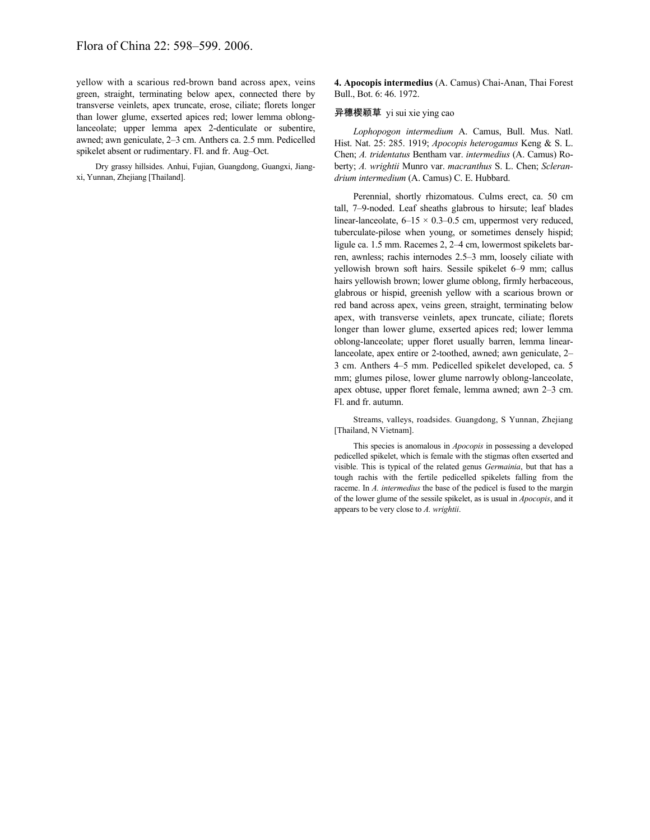yellow with a scarious red-brown band across apex, veins green, straight, terminating below apex, connected there by transverse veinlets, apex truncate, erose, ciliate; florets longer than lower glume, exserted apices red; lower lemma oblonglanceolate; upper lemma apex 2-denticulate or subentire, awned; awn geniculate, 2–3 cm. Anthers ca. 2.5 mm. Pedicelled spikelet absent or rudimentary. Fl. and fr. Aug–Oct.

Dry grassy hillsides. Anhui, Fujian, Guangdong, Guangxi, Jiangxi, Yunnan, Zhejiang [Thailand].

**4. Apocopis intermedius** (A. Camus) Chai-Anan, Thai Forest Bull., Bot. 6: 46. 1972.

### 异穗楔颖草 yi sui xie ying cao

*Lophopogon intermedium* A. Camus, Bull. Mus. Natl. Hist. Nat. 25: 285. 1919; *Apocopis heterogamus* Keng & S. L. Chen; *A. tridentatus* Bentham var. *intermedius* (A. Camus) Roberty; *A. wrightii* Munro var. *macranthus* S. L. Chen; *Sclerandrium intermedium* (A. Camus) C. E. Hubbard.

Perennial, shortly rhizomatous. Culms erect, ca. 50 cm tall, 7–9-noded. Leaf sheaths glabrous to hirsute; leaf blades linear-lanceolate,  $6-15 \times 0.3-0.5$  cm, uppermost very reduced, tuberculate-pilose when young, or sometimes densely hispid; ligule ca. 1.5 mm. Racemes 2, 2–4 cm, lowermost spikelets barren, awnless; rachis internodes 2.5–3 mm, loosely ciliate with yellowish brown soft hairs. Sessile spikelet 6–9 mm; callus hairs yellowish brown; lower glume oblong, firmly herbaceous, glabrous or hispid, greenish yellow with a scarious brown or red band across apex, veins green, straight, terminating below apex, with transverse veinlets, apex truncate, ciliate; florets longer than lower glume, exserted apices red; lower lemma oblong-lanceolate; upper floret usually barren, lemma linearlanceolate, apex entire or 2-toothed, awned; awn geniculate, 2– 3 cm. Anthers 4–5 mm. Pedicelled spikelet developed, ca. 5 mm; glumes pilose, lower glume narrowly oblong-lanceolate, apex obtuse, upper floret female, lemma awned; awn 2–3 cm. Fl. and fr. autumn.

Streams, valleys, roadsides. Guangdong, S Yunnan, Zhejiang [Thailand, N Vietnam].

This species is anomalous in *Apocopis* in possessing a developed pedicelled spikelet, which is female with the stigmas often exserted and visible. This is typical of the related genus *Germainia*, but that has a tough rachis with the fertile pedicelled spikelets falling from the raceme. In *A. intermedius* the base of the pedicel is fused to the margin of the lower glume of the sessile spikelet, as is usual in *Apocopis*, and it appears to be very close to *A. wrightii*.